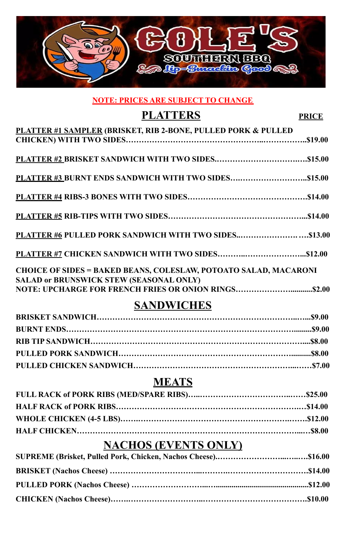

#### **NOTE: PRICES ARE SUBJECT TO CHANGE**

# **PLATTERS PRICE**

| <b>PLATTER #1 SAMPLER (BRISKET, RIB 2-BONE, PULLED PORK &amp; PULLED</b> |  |
|--------------------------------------------------------------------------|--|
|                                                                          |  |
|                                                                          |  |
|                                                                          |  |
|                                                                          |  |
|                                                                          |  |
|                                                                          |  |
|                                                                          |  |
|                                                                          |  |
| PLATTER #6 PULLED PORK SANDWICH WITH TWO SIDES\$13.00                    |  |
|                                                                          |  |
|                                                                          |  |
| <b>CHOICE OF SIDES = BAKED BEANS, COLESLAW, POTOATO SALAD, MACARONI</b>  |  |
| <b>SALAD or BRUNSWICK STEW (SEASONAL ONLY)</b>                           |  |
|                                                                          |  |
| <b>SANDWICHES</b>                                                        |  |
|                                                                          |  |

# **MEATS**

| <b>NACHOS (EVENTS ONLY)</b> |  |
|-----------------------------|--|
|                             |  |
|                             |  |
|                             |  |
|                             |  |